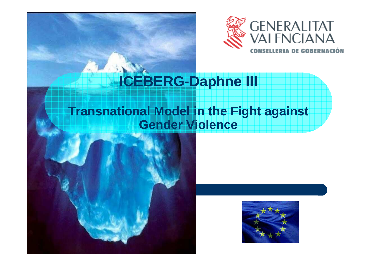

# **ICEBERG-Daphne III**

#### **Transnational Model in the Fight againstGender Violence**



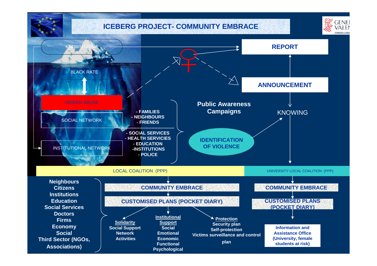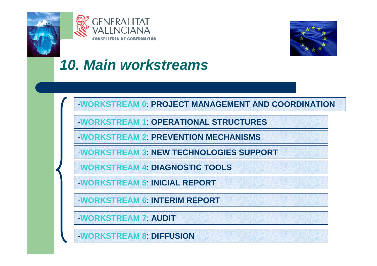





-**WORKSTREAM 0**: **PROJECT MANAGEMENT AND COORDINATION**

-**WORKSTREAM 1**: **OPERATIONAL STRUCTURES**

-**WORKSTREAM 2**: **PREVENTION MECHANISMS**

-**WORKSTREAM 3**: **NEW TECHNOLOGIES SUPPORT**

-**WORKSTREAM 4**: **DIAGNOSTIC TOOLS**

-**WORKSTREAM 5**: **INICIAL REPORT**

-**WORKSTREAM 6**: **INTERIM REPORT**

-**WORKSTREAM 7**: **AUDIT**

-**WORKSTREAM 8**: **DIFFUSION**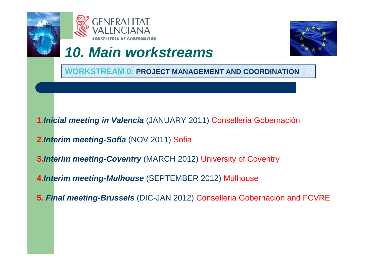





**WORKSTREAM 0: PROJECT MANAGEMENT AND COORDINATION**

- **1.Inicial meeting in Valencia** (JANUARY 2011) Conselleria Gobernación
- **2.Interim meeting-Sofía** (NOV 2011) Sofia
- **3.Interim meeting-Coventry** (MARCH 2012) University of Coventry
- **4.Interim meeting-Mulhouse** (SEPTEMBER 2012) Mulhouse
- **5. Final meeting-Brussels** (DIC-JAN 2012) Conselleria Gobernación and FCVRE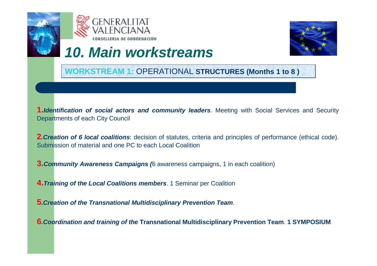





**WORKSTREAM 1:** OPERATIONAL **STRUCTURES (Months 1 to 8 )**

**1.Identification of social actors and community leaders**. Meeting with Social Services and SecurityDepartments of each City Council

**2.Creation of 6 local coalitions**: decision of statutes, criteria and principles of performance (ethical code). Submission of material and one PC to each Local Coalition

**3. Community Awareness Campaigns** (6 awareness campaigns, 1 in each coalition)

**4.Training of the Local Coalitions members**. 1 Seminar per Coalition

**5.Creation of the Transnational Multidisciplinary Prevention Team**.

**6.Coordination and training of the Transnational Multidisciplinary Prevention Team**. **1 SYMPOSIUM**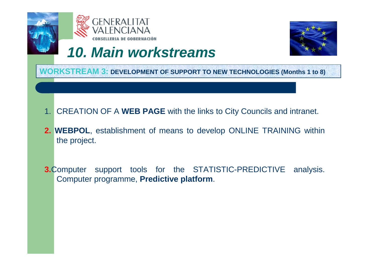





**WORKSTREAM 3: DEVELOPMENT OF SUPPORT TO NEW TECHNOLOGIES (Months 1 to 8)**

- 1. CREATION OF A **WEB PAGE** with the links to City Councils and intranet.
- **2. WEBPOL**, establishment of means to develop ONLINE TRAINING withinthe project.
- **3.**Computer support tools for the STATISTIC-PREDICTIVE analysis. Computer programme, **Predictive platform**.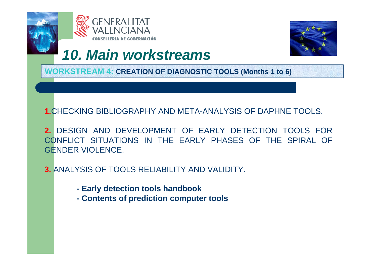





**WORKSTREAM 4: CREATION OF DIAGNOSTIC TOOLS (Months 1 to 6)**

#### **1.**CHECKING BIBLIOGRAPHY AND META-ANALYSIS OF DAPHNE TOOLS.

**2.** DESIGN AND DEVELOPMENT OF EARLY DETECTION TOOLS FOR CONFLICT SITUATIONS IN THE EARLY PHASES OF THE SPIRAL OF GENDER VIOLENCE.

- **3.** ANALYSIS OF TOOLS RELIABILITY AND VALIDITY.
	- **- Early detection tools handbook**
	- **- Contents of prediction computer tools**